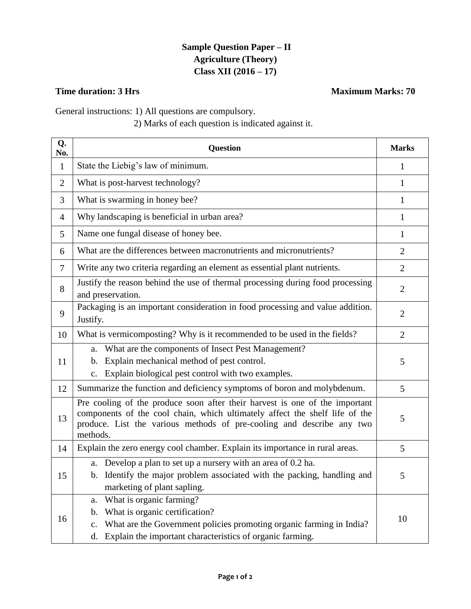## **Sample Question Paper – II Agriculture (Theory) Class XII (2016 – 17)**

## **Time duration: 3 Hrs** Maximum Marks: 70

General instructions: 1) All questions are compulsory.

## 2) Marks of each question is indicated against it.

| Q.<br>No.      | Question                                                                                                                                                                                                                                        | <b>Marks</b>   |
|----------------|-------------------------------------------------------------------------------------------------------------------------------------------------------------------------------------------------------------------------------------------------|----------------|
| $\mathbf{1}$   | State the Liebig's law of minimum.                                                                                                                                                                                                              | 1              |
| $\overline{2}$ | What is post-harvest technology?                                                                                                                                                                                                                | 1              |
| 3              | What is swarming in honey bee?                                                                                                                                                                                                                  | 1              |
| $\overline{4}$ | Why landscaping is beneficial in urban area?                                                                                                                                                                                                    | 1              |
| 5              | Name one fungal disease of honey bee.                                                                                                                                                                                                           | 1              |
| 6              | What are the differences between macronutrients and micronutrients?                                                                                                                                                                             | $\overline{2}$ |
| $\overline{7}$ | Write any two criteria regarding an element as essential plant nutrients.                                                                                                                                                                       | $\overline{2}$ |
| 8              | Justify the reason behind the use of thermal processing during food processing<br>and preservation.                                                                                                                                             | $\overline{2}$ |
| 9              | Packaging is an important consideration in food processing and value addition.<br>Justify.                                                                                                                                                      | $\overline{2}$ |
| 10             | What is vermicomposting? Why is it recommended to be used in the fields?                                                                                                                                                                        | $\overline{2}$ |
| 11             | What are the components of Insect Pest Management?<br>a.<br>Explain mechanical method of pest control.<br>b.<br>Explain biological pest control with two examples.<br>c.                                                                        | 5              |
| 12             | Summarize the function and deficiency symptoms of boron and molybdenum.                                                                                                                                                                         | $\mathfrak{S}$ |
| 13             | Pre cooling of the produce soon after their harvest is one of the important<br>components of the cool chain, which ultimately affect the shelf life of the<br>produce. List the various methods of pre-cooling and describe any two<br>methods. | 5              |
| 14             | Explain the zero energy cool chamber. Explain its importance in rural areas.                                                                                                                                                                    | 5              |
| 15             | Develop a plan to set up a nursery with an area of 0.2 ha.<br>a.<br>b. Identify the major problem associated with the packing, handling and<br>marketing of plant sapling.                                                                      | 5              |
| 16             | What is organic farming?<br>a.<br>What is organic certification?<br>b.<br>What are the Government policies promoting organic farming in India?<br>c.<br>Explain the important characteristics of organic farming.<br>d.                         | 10             |